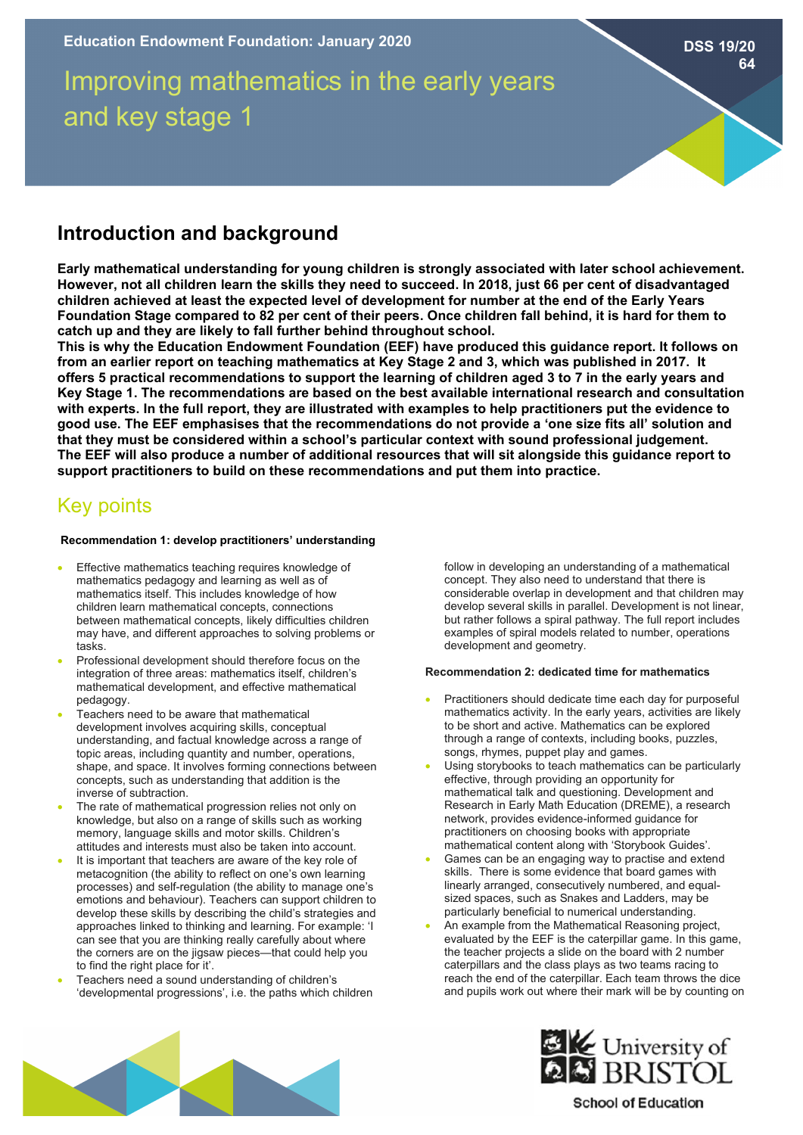# Improving mathematics in the early years and key stage 1

**Introduction and background**

**Early mathematical understanding for young children is strongly associated with later school achievement. However, not all children learn the skills they need to succeed. In 2018, just 66 per cent of disadvantaged children achieved at least the expected level of development for number at the end of the Early Years Foundation Stage compared to 82 per cent of their peers. Once children fall behind, it is hard for them to catch up and they are likely to fall further behind throughout school.**

**This is why the Education Endowment Foundation (EEF) have produced this guidance report. It follows on from an earlier report on teaching mathematics at Key Stage 2 and 3, which was published in 2017. It offers 5 practical recommendations to support the learning of children aged 3 to 7 in the early years and Key Stage 1. The recommendations are based on the best available international research and consultation with experts. In the full report, they are illustrated with examples to help practitioners put the evidence to good use. The EEF emphasises that the recommendations do not provide a 'one size fits all' solution and that they must be considered within a school's particular context with sound professional judgement. The EEF will also produce a number of additional resources that will sit alongside this guidance report to support practitioners to build on these recommendations and put them into practice.**

# Key points

# **Recommendation 1: develop practitioners' understanding**

- Effective mathematics teaching requires knowledge of mathematics pedagogy and learning as well as of mathematics itself. This includes knowledge of how children learn mathematical concepts, connections between mathematical concepts, likely difficulties children may have, and different approaches to solving problems or tasks.
- Professional development should therefore focus on the integration of three areas: mathematics itself, children's mathematical development, and effective mathematical pedagogy.
- Teachers need to be aware that mathematical development involves acquiring skills, conceptual understanding, and factual knowledge across a range of topic areas, including quantity and number, operations, shape, and space. It involves forming connections between concepts, such as understanding that addition is the inverse of subtraction.
- The rate of mathematical progression relies not only on knowledge, but also on a range of skills such as working memory, language skills and motor skills. Children's attitudes and interests must also be taken into account.
- It is important that teachers are aware of the key role of metacognition (the ability to reflect on one's own learning processes) and self-regulation (the ability to manage one's emotions and behaviour). Teachers can support children to develop these skills by describing the child's strategies and approaches linked to thinking and learning. For example: 'I can see that you are thinking really carefully about where the corners are on the jigsaw pieces—that could help you to find the right place for it'.
- Teachers need a sound understanding of children's 'developmental progressions', i.e. the paths which children

follow in developing an understanding of a mathematical concept. They also need to understand that there is considerable overlap in development and that children may develop several skills in parallel. Development is not linear, but rather follows a spiral pathway. The full report includes examples of spiral models related to number, operations development and geometry.

# **Recommendation 2: dedicated time for mathematics**

- Practitioners should dedicate time each day for purposeful mathematics activity. In the early years, activities are likely to be short and active. Mathematics can be explored through a range of contexts, including books, puzzles, songs, rhymes, puppet play and games.
- Using storybooks to teach mathematics can be particularly effective, through providing an opportunity for mathematical talk and questioning. Development and Research in Early Math Education (DREME), a research network, provides evidence-informed guidance for practitioners on choosing books with appropriate mathematical content along with 'Storybook Guides'.
- Games can be an engaging way to practise and extend skills. There is some evidence that board games with linearly arranged, consecutively numbered, and equalsized spaces, such as Snakes and Ladders, may be particularly beneficial to numerical understanding.
- An example from the Mathematical Reasoning project, evaluated by the EEF is the caterpillar game. In this game, the teacher projects a slide on the board with 2 number caterpillars and the class plays as two teams racing to reach the end of the caterpillar. Each team throws the dice and pupils work out where their mark will be by counting on





# **School of Education**

**DSS 19/20 64**